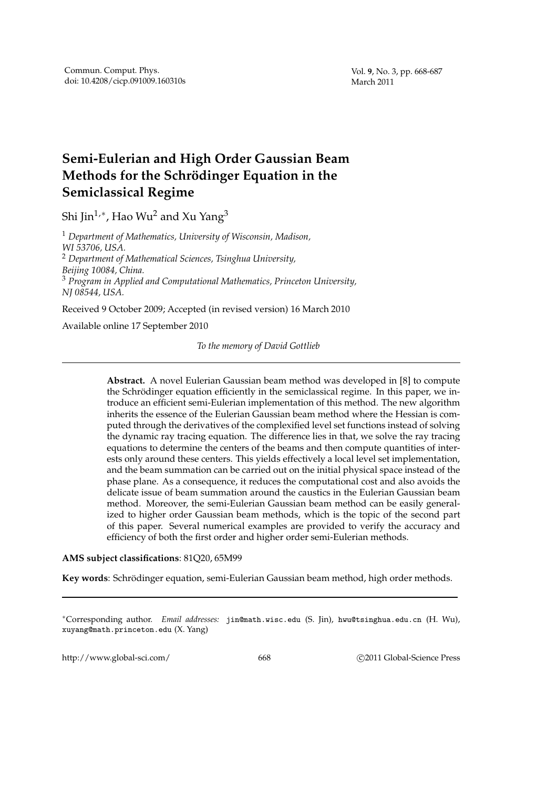# **Semi-Eulerian and High Order Gaussian Beam Methods for the Schrödinger Equation in the Semiclassical Regime**

Shi Jin $^{1,\ast}$ , Hao Wu $^2$  and Xu Yang $^3$ 

<sup>1</sup> *Department of Mathematics, University of Wisconsin, Madison, WI 53706, USA.* <sup>2</sup> *Department of Mathematical Sciences, Tsinghua University, Beijing 10084, China.* <sup>3</sup> *Program in Applied and Computational Mathematics, Princeton University, NJ 08544, USA.* Received 9 October 2009; Accepted (in revised version) 16 March 2010

Available online 17 September 2010

*To the memory of David Gottlieb*

**Abstract.** A novel Eulerian Gaussian beam method was developed in [8] to compute the Schrödinger equation efficiently in the semiclassical regime. In this paper, we introduce an efficient semi-Eulerian implementation of this method. The new algorithm inherits the essence of the Eulerian Gaussian beam method where the Hessian is computed through the derivatives of the complexified level set functions instead of solving the dynamic ray tracing equation. The difference lies in that, we solve the ray tracing equations to determine the centers of the beams and then compute quantities of interests only around these centers. This yields effectively a local level set implementation, and the beam summation can be carried out on the initial physical space instead of the phase plane. As a consequence, it reduces the computational cost and also avoids the delicate issue of beam summation around the caustics in the Eulerian Gaussian beam method. Moreover, the semi-Eulerian Gaussian beam method can be easily generalized to higher order Gaussian beam methods, which is the topic of the second part of this paper. Several numerical examples are provided to verify the accuracy and efficiency of both the first order and higher order semi-Eulerian methods.

### **AMS subject classifications**: 81Q20, 65M99

Key words: Schrödinger equation, semi-Eulerian Gaussian beam method, high order methods.

∗Corresponding author. *Email addresses:* jin@math.wisc.edu (S. Jin), hwu@tsinghua.edu.cn (H. Wu), xuyang@math.princeton.edu (X. Yang)

http://www.global-sci.com/ 668 c 2011 Global-Science Press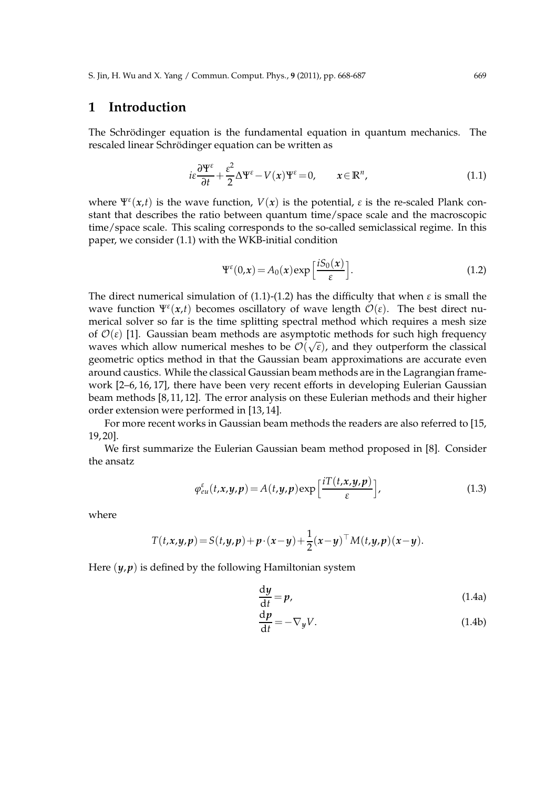# **1 Introduction**

The Schrödinger equation is the fundamental equation in quantum mechanics. The rescaled linear Schrödinger equation can be written as

$$
i\varepsilon \frac{\partial \Psi^{\varepsilon}}{\partial t} + \frac{\varepsilon^2}{2} \Delta \Psi^{\varepsilon} - V(x) \Psi^{\varepsilon} = 0, \qquad x \in \mathbb{R}^n,
$$
\n(1.1)

where  $\Psi^{\varepsilon}(x,t)$  is the wave function,  $V(x)$  is the potential,  $\varepsilon$  is the re-scaled Plank constant that describes the ratio between quantum time/space scale and the macroscopic time/space scale. This scaling corresponds to the so-called semiclassical regime. In this paper, we consider (1.1) with the WKB-initial condition

$$
\Psi^{\varepsilon}(0,\mathbf{x}) = A_0(\mathbf{x}) \exp\left[\frac{iS_0(\mathbf{x})}{\varepsilon}\right].
$$
 (1.2)

The direct numerical simulation of (1.1)-(1.2) has the difficulty that when *ε* is small the wave function  $\Psi^{\varepsilon}(x,t)$  becomes oscillatory of wave length  $\mathcal{O}(\varepsilon)$ . The best direct numerical solver so far is the time splitting spectral method which requires a mesh size of  $\mathcal{O}(\varepsilon)$  [1]. Gaussian beam methods are asymptotic methods for such high frequency waves which allow numerical meshes to be  $\mathcal{O}(\sqrt{\varepsilon})$ , and they outperform the classical geometric optics method in that the Gaussian beam approximations are accurate even around caustics. While the classical Gaussian beam methods are in the Lagrangian framework [2–6, 16, 17], there have been very recent efforts in developing Eulerian Gaussian beam methods [8, 11, 12]. The error analysis on these Eulerian methods and their higher order extension were performed in [13, 14].

For more recent works in Gaussian beam methods the readers are also referred to [15, 19, 20].

We first summarize the Eulerian Gaussian beam method proposed in [8]. Consider the ansatz

$$
\varphi_{eu}^{\varepsilon}(t,x,y,p) = A(t,y,p) \exp\left[\frac{i T(t,x,y,p)}{\varepsilon}\right],
$$
\n(1.3)

where

$$
T(t,x,y,p) = S(t,y,p) + p \cdot (x-y) + \frac{1}{2}(x-y)^{\top} M(t,y,p)(x-y).
$$

Here  $(y, p)$  is defined by the following Hamiltonian system

$$
\frac{\mathrm{d}y}{\mathrm{d}t} = p,\tag{1.4a}
$$

$$
\frac{\mathrm{d}p}{\mathrm{d}t} = -\nabla_y V. \tag{1.4b}
$$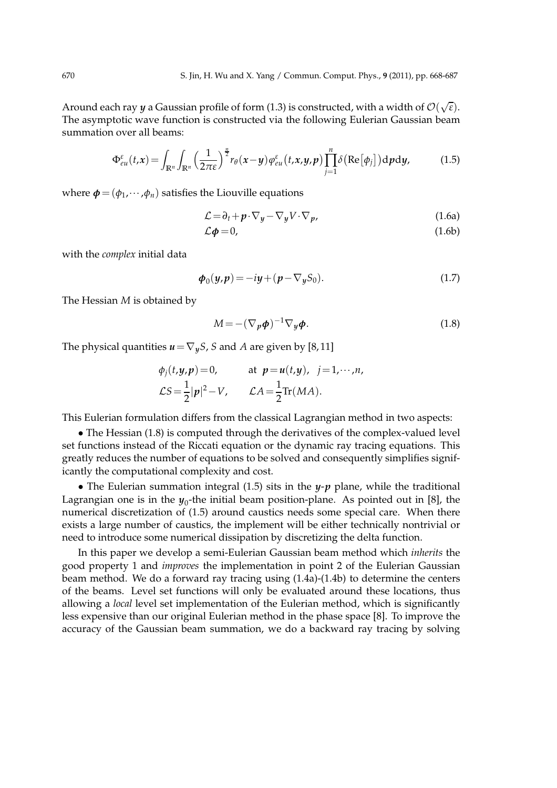Around each ray  $y$  a Gaussian profile of form (1.3) is constructed, with a width of  $\mathcal{O}(\sqrt{\epsilon})$ . The asymptotic wave function is constructed via the following Eulerian Gaussian beam summation over all beams:

$$
\Phi_{eu}^{\varepsilon}(t,x) = \int_{\mathbb{R}^n} \int_{\mathbb{R}^n} \left(\frac{1}{2\pi\varepsilon}\right)^{\frac{n}{2}} r_{\theta}(x-y) \varphi_{eu}^{\varepsilon}(t,x,y,p) \prod_{j=1}^n \delta\big(\text{Re}[\phi_j]\big) \mathrm{d}p \mathrm{d}y,\tag{1.5}
$$

where  $\boldsymbol{\phi} = (\phi_1, \cdots, \phi_n)$  satisfies the Liouville equations

$$
\mathcal{L} = \partial_t + p \cdot \nabla_y - \nabla_y V \cdot \nabla_p,\tag{1.6a}
$$

$$
\mathcal{L}\phi = 0,\tag{1.6b}
$$

with the *complex* initial data

$$
\boldsymbol{\phi}_0(\boldsymbol{y}, \boldsymbol{p}) = -i\boldsymbol{y} + (\boldsymbol{p} - \nabla_{\boldsymbol{y}} S_0). \tag{1.7}
$$

The Hessian *M* is obtained by

$$
M = -(\nabla_p \phi)^{-1} \nabla_y \phi.
$$
 (1.8)

The physical quantities  $u = \nabla_y S$ , *S* and *A* are given by [8, 11]

$$
\phi_j(t, y, p) = 0, \quad \text{at } p = u(t, y), \quad j = 1, \cdots, n,
$$
  

$$
\mathcal{L}S = \frac{1}{2} |\mathbf{p}|^2 - V, \quad \mathcal{L}A = \frac{1}{2} \text{Tr}(MA).
$$

This Eulerian formulation differs from the classical Lagrangian method in two aspects:

• The Hessian (1.8) is computed through the derivatives of the complex-valued level set functions instead of the Riccati equation or the dynamic ray tracing equations. This greatly reduces the number of equations to be solved and consequently simplifies significantly the computational complexity and cost.

• The Eulerian summation integral (1.5) sits in the *y*-*p* plane, while the traditional Lagrangian one is in the  $y_0$ -the initial beam position-plane. As pointed out in [8], the numerical discretization of (1.5) around caustics needs some special care. When there exists a large number of caustics, the implement will be either technically nontrivial or need to introduce some numerical dissipation by discretizing the delta function.

In this paper we develop a semi-Eulerian Gaussian beam method which *inherits* the good property 1 and *improves* the implementation in point 2 of the Eulerian Gaussian beam method. We do a forward ray tracing using (1.4a)-(1.4b) to determine the centers of the beams. Level set functions will only be evaluated around these locations, thus allowing a *local* level set implementation of the Eulerian method, which is significantly less expensive than our original Eulerian method in the phase space [8]. To improve the accuracy of the Gaussian beam summation, we do a backward ray tracing by solving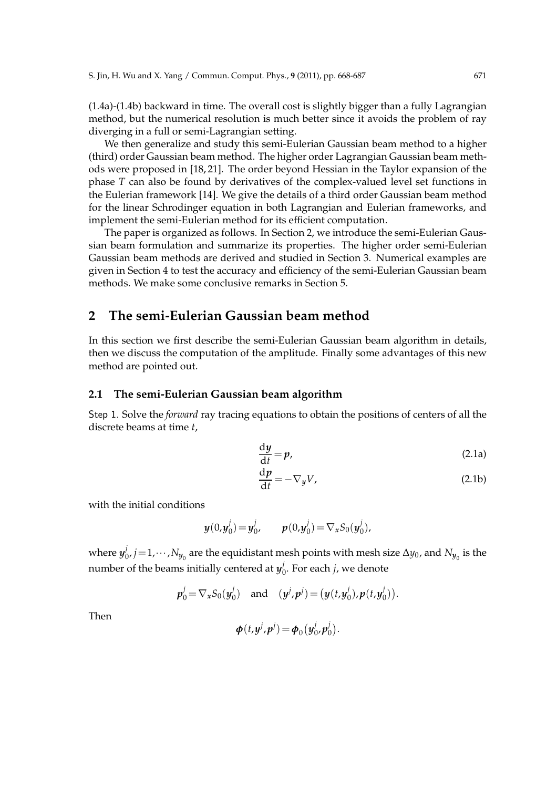(1.4a)-(1.4b) backward in time. The overall cost is slightly bigger than a fully Lagrangian method, but the numerical resolution is much better since it avoids the problem of ray diverging in a full or semi-Lagrangian setting.

We then generalize and study this semi-Eulerian Gaussian beam method to a higher (third) order Gaussian beam method. The higher order Lagrangian Gaussian beam methods were proposed in [18, 21]. The order beyond Hessian in the Taylor expansion of the phase *T* can also be found by derivatives of the complex-valued level set functions in the Eulerian framework [14]. We give the details of a third order Gaussian beam method for the linear Schrodinger equation in both Lagrangian and Eulerian frameworks, and implement the semi-Eulerian method for its efficient computation.

The paper is organized as follows. In Section 2, we introduce the semi-Eulerian Gaussian beam formulation and summarize its properties. The higher order semi-Eulerian Gaussian beam methods are derived and studied in Section 3. Numerical examples are given in Section 4 to test the accuracy and efficiency of the semi-Eulerian Gaussian beam methods. We make some conclusive remarks in Section 5.

# **2 The semi-Eulerian Gaussian beam method**

In this section we first describe the semi-Eulerian Gaussian beam algorithm in details, then we discuss the computation of the amplitude. Finally some advantages of this new method are pointed out.

### **2.1 The semi-Eulerian Gaussian beam algorithm**

Step 1. Solve the *forward* ray tracing equations to obtain the positions of centers of all the discrete beams at time *t*,

$$
\frac{\mathrm{d}y}{\mathrm{d}t} = p,\tag{2.1a}
$$

$$
\frac{\mathrm{d}p}{\mathrm{d}t} = -\nabla_y V,\tag{2.1b}
$$

with the initial conditions

$$
y(0, y_0^j) = y_0^j
$$
,  $p(0, y_0^j) = \nabla_x S_0(y_0^j)$ ,

where  $y^j_0$  $\alpha_{0}^{j}$ ,  $j$  = 1,  $\cdots$  ,  $N_{y_{0}}$  are the equidistant mesh points with mesh size ∆*y*<sub>0</sub>, and  $N_{y_{0}}$  is the number of the beams initially centered at  $y^j_{\ell}$  $\int_0$ . For each *j*, we denote

$$
p_0^j = \nabla_x S_0(y_0^j)
$$
 and  $(y^j, p^j) = (y(t, y_0^j), p(t, y_0^j)).$ 

Then

$$
\boldsymbol{\phi}(t,\mathbf{y}^j,\mathbf{p}^j)=\boldsymbol{\phi}_0(\mathbf{y}_0^j,\mathbf{p}_0^j).
$$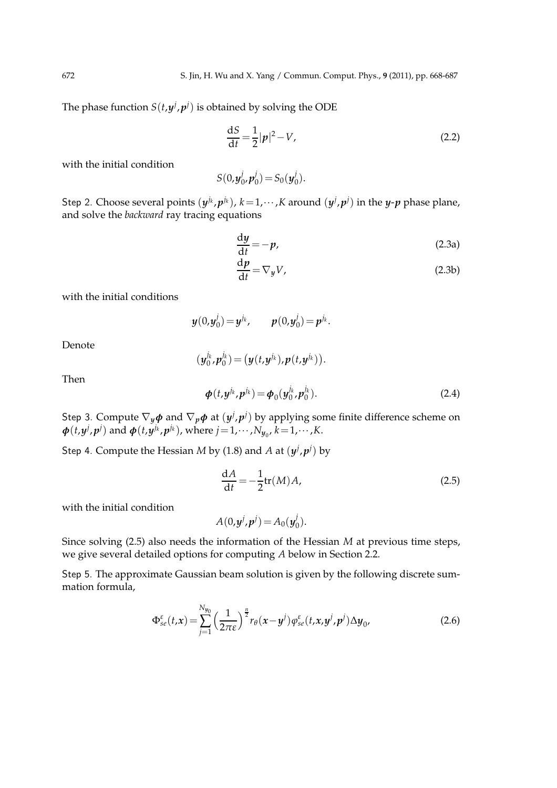The phase function  $S(t, y^j, p^j)$  is obtained by solving the ODE

$$
\frac{dS}{dt} = \frac{1}{2}|\mathbf{p}|^2 - V,\tag{2.2}
$$

with the initial condition

$$
S(0, y_0^j, p_0^j) = S_0(y_0^j).
$$

Step 2. Choose several points  $(y^{j_k}, p^{j_k})$ ,  $k=1,\dots,K$  around  $(y^{j}, p^{j})$  in the *y-p* phase plane, and solve the *backward* ray tracing equations

$$
\frac{\mathrm{d}y}{\mathrm{d}t} = -p,\tag{2.3a}
$$

$$
\frac{\mathrm{d}p}{\mathrm{d}t} = \nabla_y V,\tag{2.3b}
$$

with the initial conditions

*y*(0,*y j*  $p^j(0) = y^{j_k}$ ,  $p(0,y_0^j)$  $j_{0}^{j}) = p^{j_{k}}.$ 

Denote

$$
(\boldsymbol{y}_0^{j_k},\boldsymbol{p}_0^{j_k})=(\boldsymbol{y}(t,\boldsymbol{y}^{j_k}),\boldsymbol{p}(t,\boldsymbol{y}^{j_k})).
$$

Then

$$
\boldsymbol{\phi}(t, y^{j_k}, p^{j_k}) = \boldsymbol{\phi}_0(y_0^{j_k}, p_0^{j_k}).
$$
\n(2.4)

Step 3. Compute  $\nabla_y \phi$  and  $\nabla_p \phi$  at  $(y^j, p^j)$  by applying some finite difference scheme on  $\phi(t, y^j, p^j)$  and  $\phi(t, y^{j_k}, p^{j_k})$ , where  $j = 1, \dots, N_{y_0}$ ,  $k = 1, \dots, K$ .

Step 4. Compute the Hessian *M* by (1.8) and *A* at  $(y^j, p^j)$  by

$$
\frac{\mathrm{d}A}{\mathrm{d}t} = -\frac{1}{2}\mathrm{tr}(M)A,\tag{2.5}
$$

with the initial condition

$$
A(0,y^j,p^j)=A_0(y_0^j).
$$

Since solving (2.5) also needs the information of the Hessian *M* at previous time steps, we give several detailed options for computing *A* below in Section 2.2.

Step 5. The approximate Gaussian beam solution is given by the following discrete summation formula,

$$
\Phi_{se}^{\varepsilon}(t,x) = \sum_{j=1}^{N_{y_0}} \left(\frac{1}{2\pi\varepsilon}\right)^{\frac{n}{2}} r_{\theta}(x-y^j) \varphi_{se}^{\varepsilon}(t,x,y^j,p^j) \Delta y_0, \tag{2.6}
$$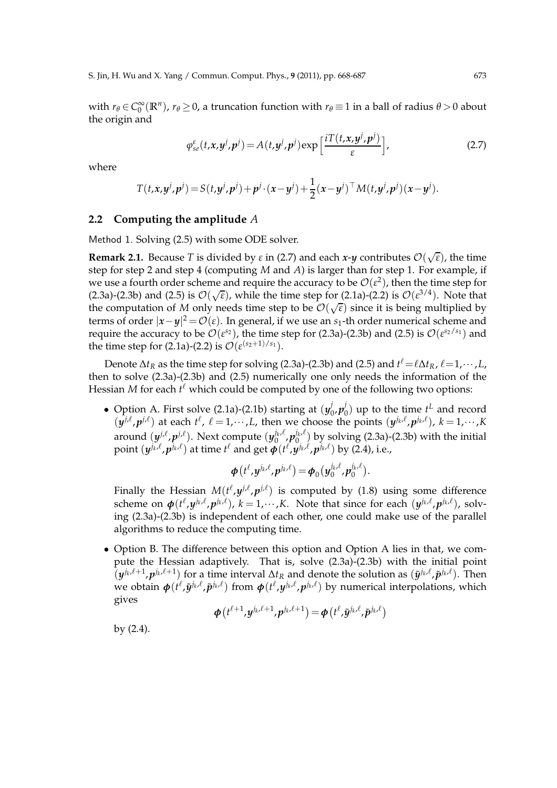with  $r_{\theta} \in C_0^{\infty}$  $\int_0^\infty (\mathbb{R}^n)$ ,  $r_\theta \ge 0$ , a truncation function with  $r_\theta \equiv 1$  in a ball of radius  $\theta > 0$  about the origin and

$$
\varphi_{se}^{\varepsilon}(t, x, y^{j}, p^{j}) = A(t, y^{j}, p^{j}) \exp\left[\frac{i T(t, x, y^{j}, p^{j})}{\varepsilon}\right],
$$
\n(2.7)

where

$$
T(t,x,y^j,p^j) = S(t,y^j,p^j) + p^j \cdot (x-y^j) + \frac{1}{2}(x-y^j)^\top M(t,y^j,p^j)(x-y^j).
$$

### **2.2 Computing the amplitude** *A*

Method 1. Solving (2.5) with some ODE solver.

**Remark 2.1.** Because *T* is divided by  $\varepsilon$  in (2.7) and each *x*-*y* contributes  $\mathcal{O}(\sqrt{\varepsilon})$ , the time step for step 2 and step 4 (computing *M* and *A*) is larger than for step 1. For example, if we use a fourth order scheme and require the accuracy to be  $\mathcal{O}(\varepsilon^2)$ , then the time step for (2.3a)-(2.3b) and (2.5) is  $\mathcal{O}(\sqrt{\epsilon})$ , while the time step for (2.1a)-(2.2) is  $\mathcal{O}(\epsilon^{3/4})$ . Note that the computation of *M* only needs time step to be  $\mathcal{O}(\sqrt{\varepsilon})$  since it is being multiplied by terms of order  $|x-y|^2 = \mathcal{O}(\varepsilon)$ . In general, if we use an *s*<sub>1</sub>-th order numerical scheme and require the accuracy to be  $\mathcal{O}(\varepsilon^{s_2})$ , the time step for (2.3a)-(2.3b) and (2.5) is  $\mathcal{O}(\varepsilon^{s_2/s_1})$  and the time step for (2.1a)-(2.2) is  $\mathcal{O}(\varepsilon^{(s_2+1)/s_1})$ .

Denote  $\Delta t_R$  as the time step for solving (2.3a)-(2.3b) and (2.5) and  $t^{\ell} = \ell \Delta t_R$ ,  $\ell = 1, \dots, L$ , then to solve (2.3a)-(2.3b) and (2.5) numerically one only needs the information of the Hessian *M* for each  $t^{\ell}$  which could be computed by one of the following two options:

• Option A. First solve (2.1a)-(2.1b) starting at  $(y_0^j)$ 0 ,*p j*  $\binom{1}{0}$  up to the time  $t^L$  and record  $(y^{j,\ell}, p^{j,\ell})$  at each  $t^{\ell}$ ,  $\ell = 1, \dots, L$ , then we choose the points  $(y^{j_{k},\ell}, p^{j_{k},\ell})$ ,  $k = 1, \dots, K$ around  $(y^{j,\ell}, p^{j,\ell})$ . Next compute  $(y_0^{j_{k},\ell})$  $\int_0^{j_k,\ell} p_0^{j_k,\ell}$  $\int_0^{k\ell}$  by solving (2.3a)-(2.3b) with the initial point  $(y^{j_k, \ell}, p^{j_k, \ell})$  at time  $t^{\ell}$  and get  $\phi(t^{\ell}, y^{j_k, \ell}, p^{j_k, \ell})$  by (2.4), i.e.,

$$
\boldsymbol{\phi}\big(t^{\ell},\mathbf{y}^{j_{k},\ell},\mathbf{p}^{j_{k},\ell}\big)=\boldsymbol{\phi}_{0}\big(\mathbf{y}_{0}^{j_{k},\ell},\mathbf{p}_{0}^{j_{k},\ell}\big).
$$

Finally the Hessian  $M(t^{\ell}, y^{j,\ell}, p^{j,\ell})$  is computed by (1.8) using some difference scheme on  $\phi(t^{\ell}, y^{j_{k}, \ell}, p^{j_{k}, \ell}), k = 1, \cdots, K$ . Note that since for each  $(y^{j_{k}, \ell}, p^{j_{k}, \ell}),$  solving (2.3a)-(2.3b) is independent of each other, one could make use of the parallel algorithms to reduce the computing time.

• Option B. The difference between this option and Option A lies in that, we compute the Hessian adaptively. That is, solve (2.3a)-(2.3b) with the initial point  $(y^{j_k,\ell+1}, p^{j_k,\ell+1})$  for a time interval  $\Delta t_R$  and denote the solution as  $(\tilde{y}^{j_k,\ell}, \tilde{p}^{j_k,\ell})$ . Then  $\psi$  *we obtain*  $\phi(t^{\ell}, \tilde{y}^{j_k,\ell}, \tilde{p}^{j_k,\ell})$  *from*  $\phi(t^{\ell}, y^{j_k,\ell}, p^{j_k,\ell})$  *by numerical interpolations, which* gives

$$
\boldsymbol{\phi}\left(t^{\ell+1},\mathbf{y}^{j_k,\ell+1},\boldsymbol{p}^{j_k,\ell+1}\right) = \boldsymbol{\phi}\left(t^{\ell},\tilde{\mathbf{y}}^{j_k,\ell},\tilde{\boldsymbol{p}}^{j_k,\ell}\right)
$$

by (2.4).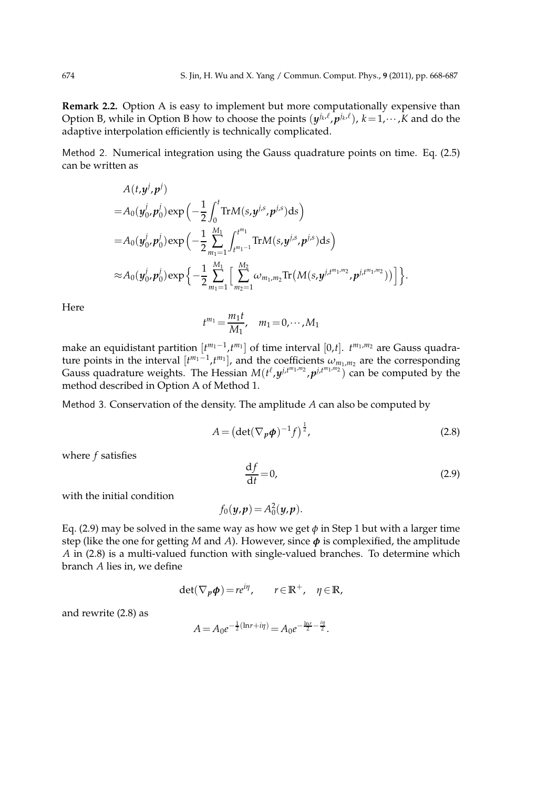**Remark 2.2.** Option A is easy to implement but more computationally expensive than Option B, while in Option B how to choose the points  $(y^{j_k, \ell}, p^{j_k, \ell})$ ,  $k = 1, \dots, K$  and do the adaptive interpolation efficiently is technically complicated.

Method 2. Numerical integration using the Gauss quadrature points on time. Eq. (2.5) can be written as

$$
A(t, y^{j}, p^{j})
$$
  
=  $A_0(y_0^{j}, p_0^{j}) \exp\left(-\frac{1}{2} \int_0^t \text{Tr}M(s, y^{j,s}, p^{j,s}) ds\right)$   
=  $A_0(y_0^{j}, p_0^{j}) \exp\left(-\frac{1}{2} \sum_{m_1=1}^{M_1} \int_{t^{m_1-1}}^{t^{m_1}} \text{Tr}M(s, y^{j,s}, p^{j,s}) ds\right)$   
 $\approx A_0(y_0^{j}, p_0^{j}) \exp\left\{-\frac{1}{2} \sum_{m_1=1}^{M_1} \left[ \sum_{m_2=1}^{M_2} \omega_{m_1, m_2} \text{Tr}\left(M(s, y^{j,t^{m_1, m_2}}, p^{j,t^{m_1, m_2}})\right) \right] \right\}.$ 

Here

$$
t^{m_1} = \frac{m_1 t}{M_1}, \quad m_1 = 0, \cdots, M_1
$$

make an equidistant partition  $[t^{m_1-1}, t^{m_1}]$  of time interval [0,*t*].  $t^{m_1,m_2}$  are Gauss quadrature points in the interval  $[t^{m_1-1}, t^{m_1}]$ , and the coefficients  $\omega_{m_1,m_2}$  are the corresponding Gauss quadrature weights. The Hessian  $M(t^{\ell}, y^{j,t^{m_1,m_2}}, p^{j,t^{m_1,m_2}})$  can be computed by the method described in Option A of Method 1.

Method 3. Conservation of the density. The amplitude *A* can also be computed by

$$
A = \left(\det(\nabla_p \phi)^{-1} f\right)^{\frac{1}{2}},\tag{2.8}
$$

where *f* satisfies

$$
\frac{\mathrm{d}f}{\mathrm{d}t} = 0,\tag{2.9}
$$

with the initial condition

$$
f_0(\boldsymbol{y},\boldsymbol{p})=A_0^2(\boldsymbol{y},\boldsymbol{p}).
$$

Eq. (2.9) may be solved in the same way as how we get  $\phi$  in Step 1 but with a larger time step (like the one for getting *M* and *A*). However, since *φ* is complexified, the amplitude *A* in (2.8) is a multi-valued function with single-valued branches. To determine which branch *A* lies in, we define

$$
\det(\nabla_p \phi) = r e^{i\eta}, \qquad r \in \mathbb{R}^+, \quad \eta \in \mathbb{R},
$$

and rewrite (2.8) as

$$
A = A_0 e^{-\frac{1}{2}(\ln r + i\eta)} = A_0 e^{-\frac{\ln r}{2} - \frac{i\eta}{2}}.
$$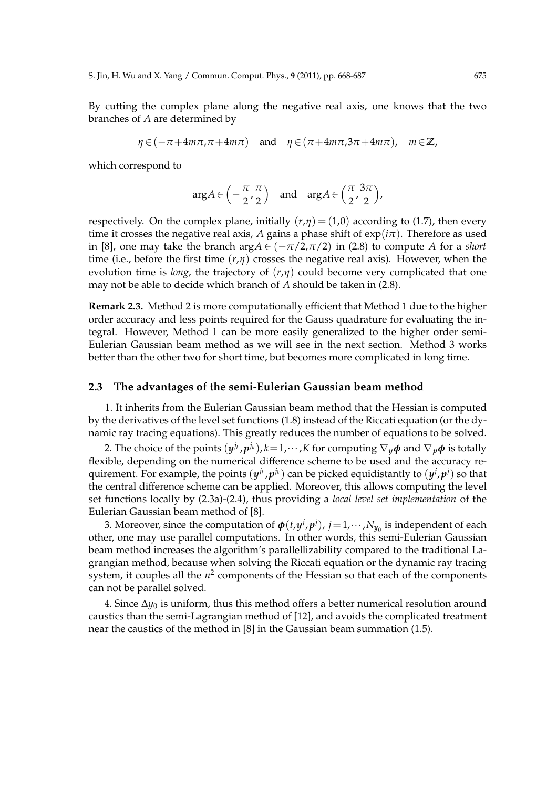By cutting the complex plane along the negative real axis, one knows that the two branches of *A* are determined by

$$
\eta \in (-\pi + 4m\pi, \pi + 4m\pi) \quad \text{and} \quad \eta \in (\pi + 4m\pi, 3\pi + 4m\pi), \quad m \in \mathbb{Z},
$$

which correspond to

$$
\arg A \in \left(-\frac{\pi}{2}, \frac{\pi}{2}\right) \quad \text{and} \quad \arg A \in \left(\frac{\pi}{2}, \frac{3\pi}{2}\right),
$$

respectively. On the complex plane, initially  $(r, \eta) = (1,0)$  according to (1.7), then every time it crosses the negative real axis, *A* gains a phase shift of  $exp(i\pi)$ . Therefore as used in [8], one may take the branch arg $A \in (-\pi/2, \pi/2)$  in (2.8) to compute A for a *short* time (i.e., before the first time  $(r,\eta)$  crosses the negative real axis). However, when the evolution time is *long*, the trajectory of  $(r, \eta)$  could become very complicated that one may not be able to decide which branch of *A* should be taken in (2.8).

**Remark 2.3.** Method 2 is more computationally efficient that Method 1 due to the higher order accuracy and less points required for the Gauss quadrature for evaluating the integral. However, Method 1 can be more easily generalized to the higher order semi-Eulerian Gaussian beam method as we will see in the next section. Method 3 works better than the other two for short time, but becomes more complicated in long time.

#### **2.3 The advantages of the semi-Eulerian Gaussian beam method**

1. It inherits from the Eulerian Gaussian beam method that the Hessian is computed by the derivatives of the level set functions (1.8) instead of the Riccati equation (or the dynamic ray tracing equations). This greatly reduces the number of equations to be solved.

2. The choice of the points  $(y^{j_k}, p^{j_k})$ ,  $k = 1, \cdots, K$  for computing  $\nabla_y \phi$  and  $\nabla_p \phi$  is totally flexible, depending on the numerical difference scheme to be used and the accuracy requirement. For example, the points  $(y^{j_k}, p^{j_k})$  can be picked equidistantly to  $(y^{j}, p^{j})$  so that the central difference scheme can be applied. Moreover, this allows computing the level set functions locally by (2.3a)-(2.4), thus providing a *local level set implementation* of the Eulerian Gaussian beam method of [8].

3. Moreover, since the computation of  $\boldsymbol{\phi}(t, y^j, p^j)$ ,  $j = 1, \dots, N_{y_0}$  is independent of each other, one may use parallel computations. In other words, this semi-Eulerian Gaussian beam method increases the algorithm's parallellizability compared to the traditional Lagrangian method, because when solving the Riccati equation or the dynamic ray tracing system, it couples all the  $n^2$  components of the Hessian so that each of the components can not be parallel solved.

4. Since ∆*y*<sup>0</sup> is uniform, thus this method offers a better numerical resolution around caustics than the semi-Lagrangian method of [12], and avoids the complicated treatment near the caustics of the method in [8] in the Gaussian beam summation (1.5).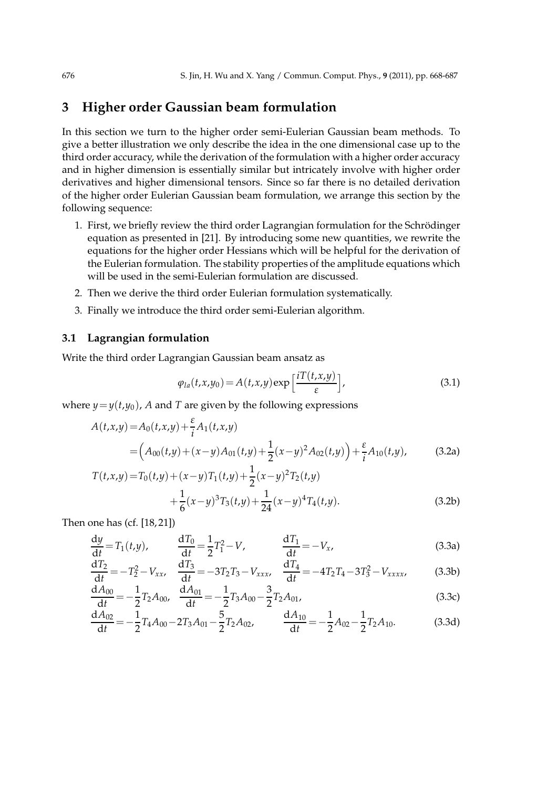# **3 Higher order Gaussian beam formulation**

In this section we turn to the higher order semi-Eulerian Gaussian beam methods. To give a better illustration we only describe the idea in the one dimensional case up to the third order accuracy, while the derivation of the formulation with a higher order accuracy and in higher dimension is essentially similar but intricately involve with higher order derivatives and higher dimensional tensors. Since so far there is no detailed derivation of the higher order Eulerian Gaussian beam formulation, we arrange this section by the following sequence:

- 1. First, we briefly review the third order Lagrangian formulation for the Schrödinger equation as presented in [21]. By introducing some new quantities, we rewrite the equations for the higher order Hessians which will be helpful for the derivation of the Eulerian formulation. The stability properties of the amplitude equations which will be used in the semi-Eulerian formulation are discussed.
- 2. Then we derive the third order Eulerian formulation systematically.
- 3. Finally we introduce the third order semi-Eulerian algorithm.

### **3.1 Lagrangian formulation**

Write the third order Lagrangian Gaussian beam ansatz as

$$
\varphi_{la}(t,x,y_0) = A(t,x,y) \exp\left[\frac{iT(t,x,y)}{\varepsilon}\right],\tag{3.1}
$$

where  $y = y(t, y_0)$ , *A* and *T* are given by the following expressions

$$
A(t,x,y) = A_0(t,x,y) + \frac{\varepsilon}{i}A_1(t,x,y)
$$
  
=  $\left(A_{00}(t,y) + (x-y)A_{01}(t,y) + \frac{1}{2}(x-y)^2A_{02}(t,y)\right) + \frac{\varepsilon}{i}A_{10}(t,y),$  (3.2a)

$$
T(t,x,y) = T_0(t,y) + (x-y)T_1(t,y) + \frac{1}{2}(x-y)^2T_2(t,y) + \frac{1}{6}(x-y)^3T_3(t,y) + \frac{1}{24}(x-y)^4T_4(t,y).
$$
\n(3.2b)

Then one has (cf. [18, 21])

$$
\frac{dy}{dt} = T_1(t, y), \qquad \frac{dT_0}{dt} = \frac{1}{2}T_1^2 - V, \qquad \frac{dT_1}{dt} = -V_x, \qquad (3.3a)
$$

$$
\frac{dT_2}{dt} = -T_2^2 - V_{xx}, \quad \frac{dT_3}{dt} = -3T_2T_3 - V_{xxx}, \quad \frac{dT_4}{dt} = -4T_2T_4 - 3T_3^2 - V_{xxxx}, \tag{3.3b}
$$

$$
\frac{dA_{00}}{dt} = -\frac{1}{2}T_2A_{00}, \quad \frac{dA_{01}}{dt} = -\frac{1}{2}T_3A_{00} - \frac{3}{2}T_2A_{01},\tag{3.3c}
$$

$$
\frac{dA_{02}}{dt} = -\frac{1}{2}T_4A_{00} - 2T_3A_{01} - \frac{5}{2}T_2A_{02}, \qquad \frac{dA_{10}}{dt} = -\frac{1}{2}A_{02} - \frac{1}{2}T_2A_{10}.
$$
 (3.3d)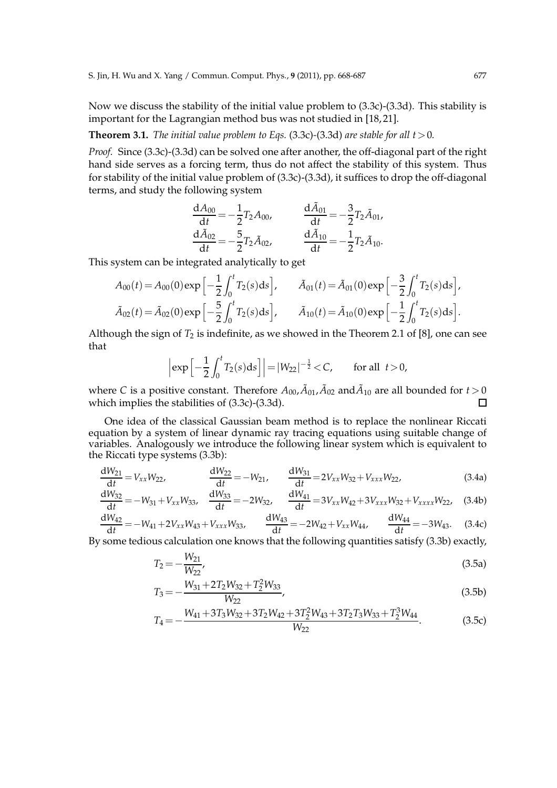Now we discuss the stability of the initial value problem to (3.3c)-(3.3d). This stability is important for the Lagrangian method bus was not studied in [18, 21].

#### **Theorem 3.1.** *The initial value problem to Eqs.* (3.3c)-(3.3d) *are stable for all t*  $>0$ *.*

*Proof.* Since (3.3c)-(3.3d) can be solved one after another, the off-diagonal part of the right hand side serves as a forcing term, thus do not affect the stability of this system. Thus for stability of the initial value problem of (3.3c)-(3.3d), it suffices to drop the off-diagonal terms, and study the following system

$$
\frac{dA_{00}}{dt} = -\frac{1}{2}T_2A_{00}, \qquad \frac{d\tilde{A}_{01}}{dt} = -\frac{3}{2}T_2\tilde{A}_{01},
$$

$$
\frac{d\tilde{A}_{02}}{dt} = -\frac{5}{2}T_2\tilde{A}_{02}, \qquad \frac{d\tilde{A}_{10}}{dt} = -\frac{1}{2}T_2\tilde{A}_{10}.
$$

This system can be integrated analytically to get

$$
A_{00}(t) = A_{00}(0) \exp\left[-\frac{1}{2} \int_0^t T_2(s) \, ds\right], \qquad \tilde{A}_{01}(t) = \tilde{A}_{01}(0) \exp\left[-\frac{3}{2} \int_0^t T_2(s) \, ds\right],
$$

$$
\tilde{A}_{02}(t) = \tilde{A}_{02}(0) \exp\left[-\frac{5}{2} \int_0^t T_2(s) \, ds\right], \qquad \tilde{A}_{10}(t) = \tilde{A}_{10}(0) \exp\left[-\frac{1}{2} \int_0^t T_2(s) \, ds\right].
$$

Although the sign of  $T_2$  is indefinite, as we showed in the Theorem 2.1 of [8], one can see that

$$
\left|\exp\left[-\frac{1}{2}\int_0^t T_2(s)ds\right]\right| = |W_{22}|^{-\frac{1}{2}} < C,
$$
 for all  $t > 0$ ,

where *C* is a positive constant. Therefore  $A_{00}$ ,  $\tilde{A}_{01}$ ,  $\tilde{A}_{02}$  and  $\tilde{A}_{10}$  are all bounded for  $t > 0$ which implies the stabilities of (3.3c)-(3.3d).  $\Box$ 

One idea of the classical Gaussian beam method is to replace the nonlinear Riccati equation by a system of linear dynamic ray tracing equations using suitable change of variables. Analogously we introduce the following linear system which is equivalent to the Riccati type systems (3.3b):

$$
\frac{dW_{21}}{dt} = V_{xx}W_{22}, \qquad \frac{dW_{22}}{dt} = -W_{21}, \qquad \frac{dW_{31}}{dt} = 2V_{xx}W_{32} + V_{xxx}W_{22}, \qquad (3.4a)
$$

$$
\frac{dW_{32}}{dt} = -W_{31} + V_{xx}W_{33}, \quad \frac{dW_{33}}{dt} = -2W_{32}, \quad \frac{dW_{41}}{dt} = 3V_{xx}W_{42} + 3V_{xxx}W_{32} + V_{xxxx}W_{22}, \quad (3.4b)
$$

$$
\frac{dW_{42}}{dt} = -W_{41} + 2V_{xx}W_{43} + V_{xxx}W_{33}, \qquad \frac{dW_{43}}{dt} = -2W_{42} + V_{xx}W_{44}, \qquad \frac{dW_{44}}{dt} = -3W_{43}.
$$
 (3.4c)

By some tedious calculation one knows that the following quantities satisfy (3.3b) exactly,

$$
T_2 = -\frac{W_{21}}{W_{22}},\tag{3.5a}
$$

$$
T_3 = -\frac{W_{31} + 2T_2 W_{32} + T_2^2 W_{33}}{W_{22}},
$$
\t(3.5b)

$$
T_4 = -\frac{W_{41} + 3T_3W_{32} + 3T_2W_{42} + 3T_2^2W_{43} + 3T_2T_3W_{33} + T_2^3W_{44}}{W_{22}}.\tag{3.5c}
$$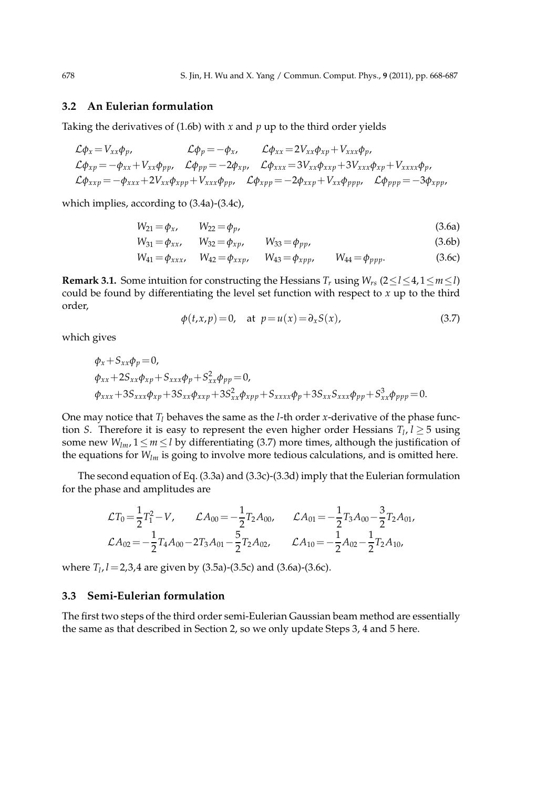### **3.2 An Eulerian formulation**

Taking the derivatives of (1.6b) with *x* and *p* up to the third order yields

$$
\mathcal{L}\phi_x = V_{xx}\phi_p, \qquad \mathcal{L}\phi_p = -\phi_x, \qquad \mathcal{L}\phi_{xx} = 2V_{xx}\phi_{xp} + V_{xxx}\phi_p, \n\mathcal{L}\phi_{xp} = -\phi_{xx} + V_{xx}\phi_{pp}, \qquad \mathcal{L}\phi_{pp} = -2\phi_{xp}, \qquad \mathcal{L}\phi_{xxx} = 3V_{xx}\phi_{xxp} + 3V_{xxx}\phi_{xp} + V_{xxx}\phi_p, \n\mathcal{L}\phi_{xxp} = -\phi_{xxx} + 2V_{xx}\phi_{xpp} + V_{xxx}\phi_{pp}, \qquad \mathcal{L}\phi_{xpp} = -2\phi_{xxp} + V_{xx}\phi_{ppp}, \qquad \mathcal{L}\phi_{ppp} = -3\phi_{xpp},
$$

which implies, according to (3.4a)-(3.4c),

$$
W_{21} = \phi_x, \qquad W_{22} = \phi_p, \tag{3.6a}
$$

$$
W_{31} = \phi_{xx}, \qquad W_{32} = \phi_{xp}, \qquad W_{33} = \phi_{pp}, \tag{3.6b}
$$

$$
W_{41} = \phi_{xxx}, \quad W_{42} = \phi_{xxp}, \quad W_{43} = \phi_{xpp}, \quad W_{44} = \phi_{ppp}.
$$
 (3.6c)

**Remark 3.1.** Some intuition for constructing the Hessians  $T_r$  using  $W_{rs}$  (2≤*l* ≤4, 1≤*m* ≤*l*) could be found by differentiating the level set function with respect to *x* up to the third order,

$$
\phi(t, x, p) = 0, \quad \text{at } p = u(x) = \partial_x S(x), \tag{3.7}
$$

which gives

$$
\varphi_{x} + S_{xx}\varphi_{p} = 0,
$$
  
\n
$$
\varphi_{xx} + 2S_{xx}\varphi_{xp} + S_{xxx}\varphi_{p} + S_{xx}^{2}\varphi_{pp} = 0,
$$
  
\n
$$
\varphi_{xxx} + 3S_{xxx}\varphi_{xp} + 3S_{xx}\varphi_{xxp} + 3S_{xx}^{2}\varphi_{xpp} + S_{xxx}\varphi_{p} + 3S_{xx}S_{xxx}\varphi_{pp} + S_{xx}^{3}\varphi_{ppp} = 0.
$$

One may notice that  $T_l$  behaves the same as the *l*-th order *x*-derivative of the phase function *S*. Therefore it is easy to represent the even higher order Hessians  $T_l$ ,  $l \geq 5$  using some new  $W_{lm}$ ,  $1 \leq m \leq l$  by differentiating (3.7) more times, although the justification of the equations for  $W_{lm}$  is going to involve more tedious calculations, and is omitted here.

The second equation of Eq. (3.3a) and (3.3c)-(3.3d) imply that the Eulerian formulation for the phase and amplitudes are

$$
\mathcal{L}T_0 = \frac{1}{2}T_1^2 - V, \qquad \mathcal{L}A_{00} = -\frac{1}{2}T_2A_{00}, \qquad \mathcal{L}A_{01} = -\frac{1}{2}T_3A_{00} - \frac{3}{2}T_2A_{01},
$$
  

$$
\mathcal{L}A_{02} = -\frac{1}{2}T_4A_{00} - 2T_3A_{01} - \frac{5}{2}T_2A_{02}, \qquad \mathcal{L}A_{10} = -\frac{1}{2}A_{02} - \frac{1}{2}T_2A_{10},
$$

where *T<sup>l</sup>* , *l*=2,3,4 are given by (3.5a)-(3.5c) and (3.6a)-(3.6c).

### **3.3 Semi-Eulerian formulation**

The first two steps of the third order semi-Eulerian Gaussian beam method are essentially the same as that described in Section 2, so we only update Steps 3, 4 and 5 here.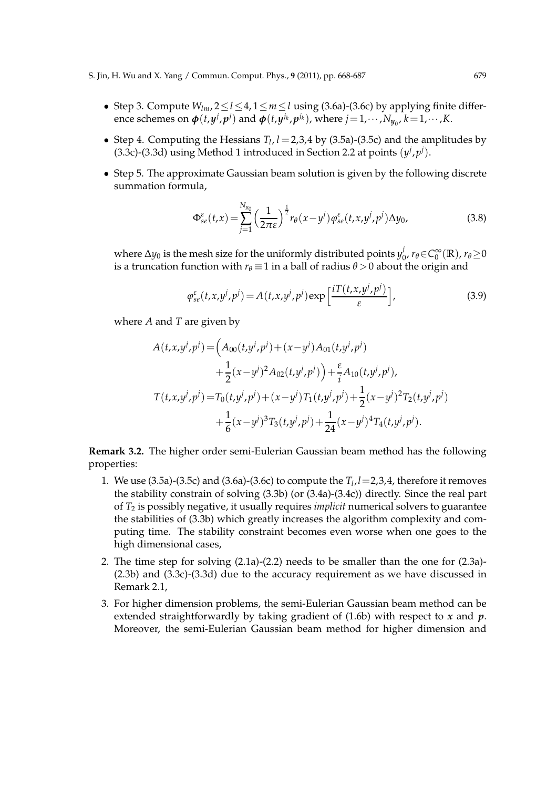S. Jin, H. Wu and X. Yang / Commun. Comput. Phys., **9** (2011), pp. 668-687 679

- Step 3. Compute *Wlm*, 2≤*l*≤4, 1≤*m*≤*l* using (3.6a)-(3.6c) by applying finite difference schemes on  $\phi(t,y^j,p^j)$  and  $\phi(t,y^{j_k},p^{j_k})$ , where  $j=1,\cdots,N_{y_0},$   $k=1,\cdots,K$ .
- Step 4. Computing the Hessians  $T_l$ ,  $l = 2.3.4$  by (3.5a)-(3.5c) and the amplitudes by (3.3c)-(3.3d) using Method 1 introduced in Section 2.2 at points  $(y^j, p^j)$ .
- Step 5. The approximate Gaussian beam solution is given by the following discrete summation formula,

$$
\Phi_{se}^{\varepsilon}(t,x) = \sum_{j=1}^{N_{y_0}} \left(\frac{1}{2\pi\varepsilon}\right)^{\frac{1}{2}} r_{\theta}(x-y^j) \varphi_{se}^{\varepsilon}(t,x,y^j,p^j) \Delta y_0, \tag{3.8}
$$

where  $\Delta y_0$  is the mesh size for the uniformly distributed points  $y^j_0$  $v_0$ *r*<sup>*θ*∈*C***<sub>∞</sub><sup>∞</sup><sub>0</sub></sup></sup>**  $\sum_{0}^{\infty}$ (**R**),  $r_{\theta} \ge 0$ is a truncation function with  $r_{\theta} \equiv 1$  in a ball of radius  $\theta > 0$  about the origin and

$$
\varphi_{se}^{\varepsilon}(t,x,y^j,p^j) = A(t,x,y^j,p^j) \exp\left[\frac{iT(t,x,y^j,p^j)}{\varepsilon}\right],\tag{3.9}
$$

where *A* and *T* are given by

$$
A(t, x, y^j, p^j) = \left(A_{00}(t, y^j, p^j) + (x - y^j)A_{01}(t, y^j, p^j) + \frac{1}{2}(x - y^j)^2A_{02}(t, y^j, p^j)\right) + \frac{\varepsilon}{i}A_{10}(t, y^j, p^j),
$$
  

$$
T(t, x, y^j, p^j) = T_0(t, y^j, p^j) + (x - y^j)T_1(t, y^j, p^j) + \frac{1}{2}(x - y^j)^2T_2(t, y^j, p^j) + \frac{1}{6}(x - y^j)^3T_3(t, y^j, p^j) + \frac{1}{24}(x - y^j)^4T_4(t, y^j, p^j).
$$

**Remark 3.2.** The higher order semi-Eulerian Gaussian beam method has the following properties:

- 1. We use  $(3.5a)-(3.5c)$  and  $(3.6a)-(3.6c)$  to compute the  $T_l$ ,  $l=2,3,4$ , therefore it removes the stability constrain of solving (3.3b) (or (3.4a)-(3.4c)) directly. Since the real part of *T*<sup>2</sup> is possibly negative, it usually requires *implicit* numerical solvers to guarantee the stabilities of (3.3b) which greatly increases the algorithm complexity and computing time. The stability constraint becomes even worse when one goes to the high dimensional cases,
- 2. The time step for solving (2.1a)-(2.2) needs to be smaller than the one for (2.3a)- (2.3b) and (3.3c)-(3.3d) due to the accuracy requirement as we have discussed in Remark 2.1,
- 3. For higher dimension problems, the semi-Eulerian Gaussian beam method can be extended straightforwardly by taking gradient of (1.6b) with respect to *x* and *p*. Moreover, the semi-Eulerian Gaussian beam method for higher dimension and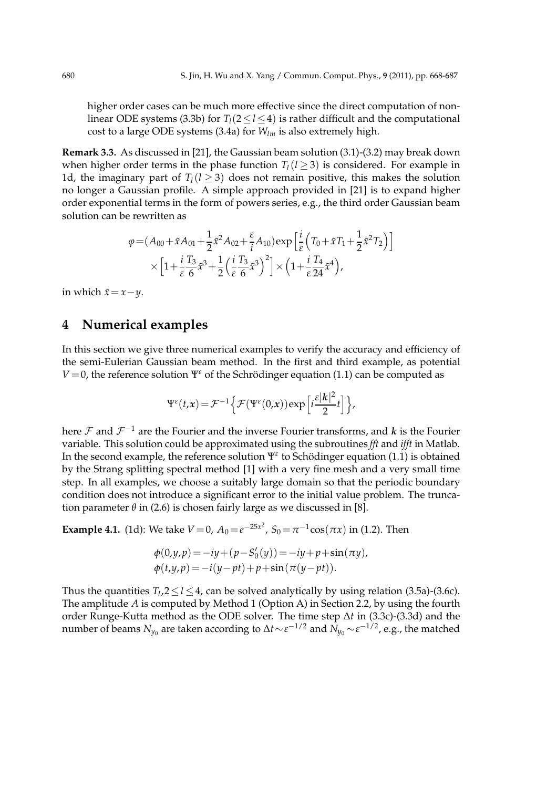higher order cases can be much more effective since the direct computation of nonlinear ODE systems (3.3b) for  $T_l(2 \le l \le 4)$  is rather difficult and the computational cost to a large ODE systems (3.4a) for *Wlm* is also extremely high.

**Remark 3.3.** As discussed in [21], the Gaussian beam solution (3.1)-(3.2) may break down when higher order terms in the phase function  $T_l$  ( $l \geq 3$ ) is considered. For example in 1d, the imaginary part of  $T_l$ ( $l \geq 3$ ) does not remain positive, this makes the solution no longer a Gaussian profile. A simple approach provided in [21] is to expand higher order exponential terms in the form of powers series, e.g., the third order Gaussian beam solution can be rewritten as

$$
\varphi = (A_{00} + \tilde{x}A_{01} + \frac{1}{2}\tilde{x}^2A_{02} + \frac{\varepsilon}{i}A_{10})\exp\left[\frac{i}{\varepsilon}\left(T_0 + \tilde{x}T_1 + \frac{1}{2}\tilde{x}^2T_2\right)\right]
$$

$$
\times \left[1 + \frac{i}{\varepsilon}\frac{T_3}{6}\tilde{x}^3 + \frac{1}{2}\left(\frac{i}{\varepsilon}\frac{T_3}{6}\tilde{x}^3\right)^2\right] \times \left(1 + \frac{i}{\varepsilon}\frac{T_4}{24}\tilde{x}^4\right),
$$

in which  $\tilde{x} = x - y$ .

# **4 Numerical examples**

In this section we give three numerical examples to verify the accuracy and efficiency of the semi-Eulerian Gaussian beam method. In the first and third example, as potential *V* = 0, the reference solution  $\Psi^{\varepsilon}$  of the Schrödinger equation (1.1) can be computed as

$$
\Psi^{\varepsilon}(t,x) = \mathcal{F}^{-1}\left\{\mathcal{F}(\Psi^{\varepsilon}(0,x))\exp\left[i\frac{\varepsilon|\mathbf{k}|^2}{2}t\right]\right\},\,
$$

here  $\mathcal F$  and  $\mathcal F^{-1}$  are the Fourier and the inverse Fourier transforms, and  $k$  is the Fourier variable. This solution could be approximated using the subroutines *fft* and *ifft* in Matlab. In the second example, the reference solution  $\Psi^{\varepsilon}$  to Schödinger equation (1.1) is obtained by the Strang splitting spectral method [1] with a very fine mesh and a very small time step. In all examples, we choose a suitably large domain so that the periodic boundary condition does not introduce a significant error to the initial value problem. The truncation parameter  $\theta$  in (2.6) is chosen fairly large as we discussed in [8].

**Example 4.1.** (1d): We take  $V = 0$ ,  $A_0 = e^{-25x^2}$ ,  $S_0 = \pi^{-1} \cos(\pi x)$  in (1.2). Then

$$
\phi(0,y,p) = -iy + (p - S'_0(y)) = -iy + p + \sin(\pi y), \n\phi(t,y,p) = -i(y - pt) + p + \sin(\pi(y - pt)).
$$

Thus the quantities  $T_l$ ,  $2 \le l \le 4$ , can be solved analytically by using relation (3.5a)-(3.6c). The amplitude *A* is computed by Method 1 (Option A) in Section 2.2, by using the fourth order Runge-Kutta method as the ODE solver. The time step ∆*t* in (3.3c)-(3.3d) and the number of beams  $N_{y_0}$  are taken according to  $\Delta t\!\sim\! \varepsilon^{-1/2}$  and  $N_{y_0}\!\sim\! \varepsilon^{-1/2}$ , e.g., the matched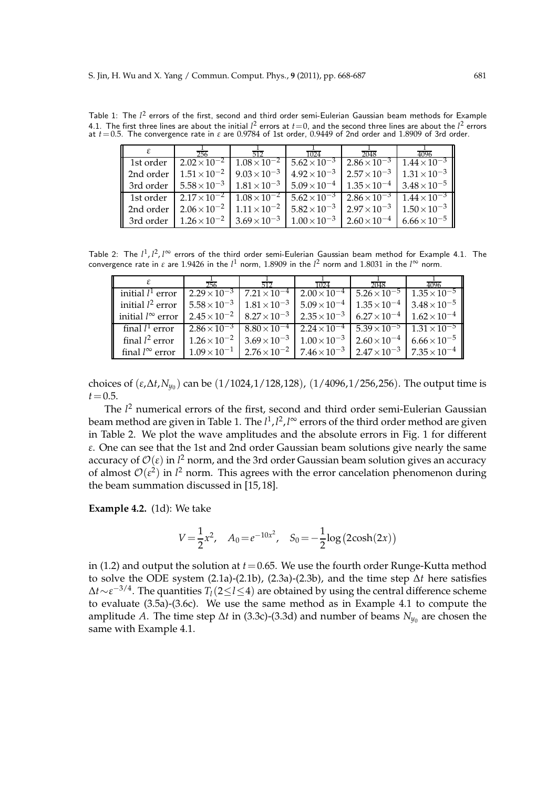Table 1: The  $l^2$  errors of the first, second and third order semi-Eulerian Gaussian beam methods for Example 4.1. The first three lines are about the initial  $l^2$  errors at  $t=0$ , and the second three lines are about the  $l^2$  errors at *t*=0.5. The convergence rate in *ε* are 0.9784 of 1st order, 0.9449 of 2nd order and 1.8909 of 3rd order.

| 256                                                                                                                                                               | 1024 | 2048 | 4096                                                                                                                                                                 |
|-------------------------------------------------------------------------------------------------------------------------------------------------------------------|------|------|----------------------------------------------------------------------------------------------------------------------------------------------------------------------|
| 1st order $\left[2.02\times10^{-2}\right]$ $1.08\times10^{-2}$ $\left[5.62\times10^{-3}\right]$ $2.86\times10^{-3}$ $\left[1.44\times10^{-3}\right]$              |      |      |                                                                                                                                                                      |
| 2nd order $\left[1.51 \times 10^{-2} \right]$ 9.03 $\times 10^{-3}$ $\left[4.92 \times 10^{-3} \right]$ 2.57 $\times 10^{-3}$ $\left[1.31 \times 10^{-3} \right]$ |      |      |                                                                                                                                                                      |
|                                                                                                                                                                   |      |      | 3rd order $\left[ 5.58 \times 10^{-3} \right]$ $1.81 \times 10^{-3}$ $\left[ 5.09 \times 10^{-4} \right]$ $1.35 \times 10^{-4}$ $\left[ 3.48 \times 10^{-5} \right]$ |
|                                                                                                                                                                   |      |      | 1st order $\left[2.17 \times 10^{-2} \right]$ $1.08 \times 10^{-2}$ $\left[5.62 \times 10^{-3} \right]$ $2.86 \times 10^{-3}$ $\left[1.44 \times 10^{-3} \right]$    |
|                                                                                                                                                                   |      |      | 2nd order   $2.06 \times 10^{-2}$   $1.11 \times 10^{-2}$   $5.82 \times 10^{-3}$   $2.97 \times 10^{-3}$   $1.50 \times 10^{-3}$                                    |
|                                                                                                                                                                   |      |      | 3rd order   $1.26 \times 10^{-2}$   $3.69 \times 10^{-3}$   $1.00 \times 10^{-3}$   $2.60 \times 10^{-4}$   $6.66 \times 10^{-5}$                                    |

Table 2: The  $l^1, l^2, l^\infty$  errors of the third order semi-Eulerian Gaussian beam method for Example 4.1. The convergence rate in *ε* are 1.9426 in the  $l^1$  norm, 1.8909 in the  $l^2$  norm and 1.8031 in the  $l^\infty$  norm.

|                            | 256                                         |                                               | 1024                  | 2048                                                                                          | 4096                  |
|----------------------------|---------------------------------------------|-----------------------------------------------|-----------------------|-----------------------------------------------------------------------------------------------|-----------------------|
| initial $l^1$ error        |                                             | $2.29 \times 10^{-3}$ 7.21 $\times 10^{-4}$   |                       | $2.00\times10^{-4}$   5.26 $\times10^{-5}$                                                    | $1.35 \times 10^{-5}$ |
| initial $l^2$ error        | $5.58 \times 10^{-3}$ $1.81 \times 10^{-3}$ |                                               | $5.09 \times 10^{-4}$ | $1.35 \times 10^{-4}$ 3.48 $\times 10^{-5}$                                                   |                       |
| initial $l^{\infty}$ error |                                             | $2.45 \times 10^{-2}$   $8.27 \times 10^{-3}$ |                       | $2.35 \times 10^{-3}$ 6.27 $\times 10^{-4}$ 1.62 $\times 10^{-4}$                             |                       |
| final $l^1$ error          | $2.86 \times 10^{-3}$ $8.80 \times 10^{-4}$ |                                               |                       | $2.24 \times 10^{-4}$ 5.39 $\times 10^{-5}$ 1.31 $\times 10^{-5}$                             |                       |
| final $l^2$ error          | $1.26 \times 10^{-2}$ 3.69 $\times 10^{-3}$ |                                               | $1.00 \times 10^{-3}$ | $2.60\times10^{-4}$ 6.66 $\times10^{-5}$                                                      |                       |
| final $l^{\infty}$ error   |                                             |                                               |                       | $1.09 \times 10^{-1}$   $2.76 \times 10^{-2}$   $7.46 \times 10^{-3}$   $2.47 \times 10^{-3}$ | $7.35 \times 10^{-4}$ |

choices of (*ε*,∆*t*,*Ny*<sup>0</sup> ) can be (1/1024,1/128,128), (1/4096,1/256,256). The output time is  $t = 0.5$ .

The *l* <sup>2</sup> numerical errors of the first, second and third order semi-Eulerian Gaussian beam method are given in Table 1. The *l*<sup>1</sup>,*l*<sup>2</sup>,*l*∞ errors of the third order method are given in Table 2. We plot the wave amplitudes and the absolute errors in Fig. 1 for different *ε*. One can see that the 1st and 2nd order Gaussian beam solutions give nearly the same accuracy of  $\mathcal{O}(\varepsilon)$  in  $l^2$  norm, and the 3rd order Gaussian beam solution gives an accuracy of almost  $\mathcal{O}(\varepsilon^2)$  in  $l^2$  norm. This agrees with the error cancelation phenomenon during the beam summation discussed in [15, 18].

**Example 4.2.** (1d): We take

$$
V = \frac{1}{2}x^2, \quad A_0 = e^{-10x^2}, \quad S_0 = -\frac{1}{2}\log(2\cosh(2x))
$$

in (1.2) and output the solution at  $t = 0.65$ . We use the fourth order Runge-Kutta method to solve the ODE system (2.1a)-(2.1b), (2.3a)-(2.3b), and the time step ∆*t* here satisfies <sup>∆</sup>*t*∼*<sup>ε</sup>* <sup>−</sup>3/4. The quantities *<sup>T</sup>l*(2≤*l*≤4) are obtained by using the central difference scheme to evaluate (3.5a)-(3.6c). We use the same method as in Example 4.1 to compute the amplitude *A*. The time step ∆*t* in (3.3c)-(3.3d) and number of beams  $N_{y_0}$  are chosen the same with Example 4.1.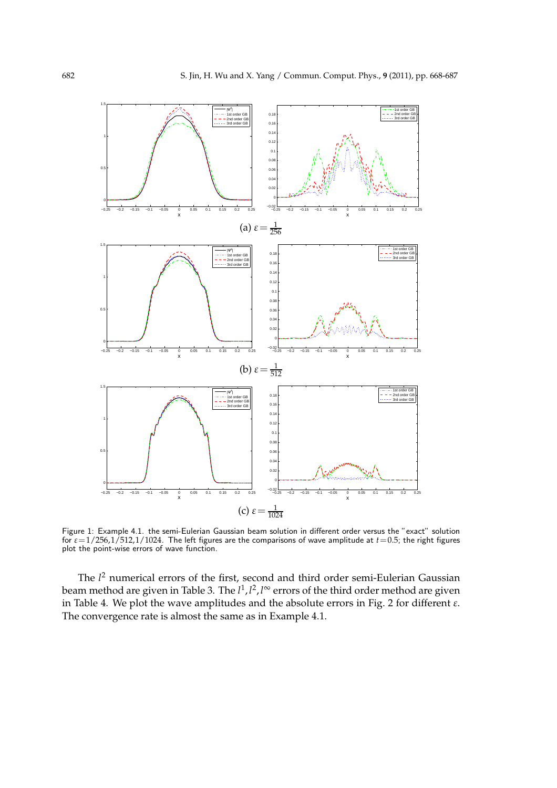

Figure 1: Example 4.1. the semi-Eulerian Gaussian beam solution in different order versus the "exact" solution for *ε*=1/256,1/512,1/1024. The left figures are the comparisons of wave amplitude at *t*=0.5; the right figures plot the point-wise errors of wave function.

The *l* <sup>2</sup> numerical errors of the first, second and third order semi-Eulerian Gaussian beam method are given in Table 3. The *l*<sup>1</sup>,*l*<sup>2</sup>,*l*∞ errors of the third order method are given in Table 4. We plot the wave amplitudes and the absolute errors in Fig. 2 for different *ε*. The convergence rate is almost the same as in Example 4.1.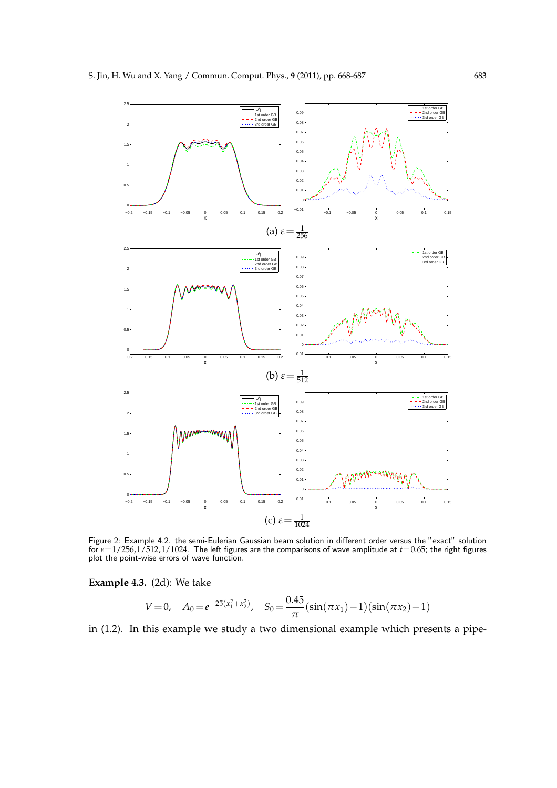

Figure 2: Example 4.2. the semi-Eulerian Gaussian beam solution in different order versus the "exact" solution for *ε*=1/256,1/512,1/1024. The left figures are the comparisons of wave amplitude at *t*=0.65; the right figures plot the point-wise errors of wave function.

**Example 4.3.** (2d): We take

$$
V = 0, \quad A_0 = e^{-25(x_1^2 + x_2^2)}, \quad S_0 = \frac{0.45}{\pi} (\sin(\pi x_1) - 1)(\sin(\pi x_2) - 1)
$$

in (1.2). In this example we study a two dimensional example which presents a pipe-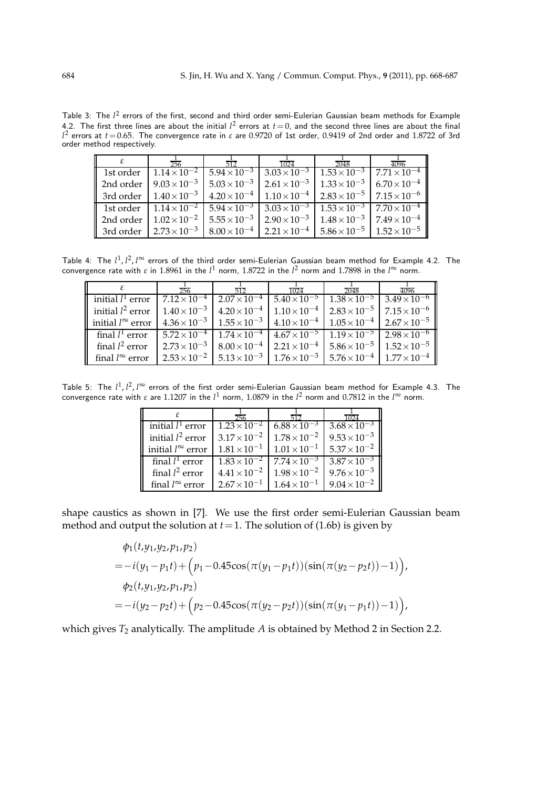Table 3: The  $l^2$  errors of the first, second and third order semi-Eulerian Gaussian beam methods for Example 4.2. The first three lines are about the initial  $l^2$  errors at  $t=0$ , and the second three lines are about the final *l* 2 errors at *t*=0.65. The convergence rate in *ε* are 0.9720 of 1st order, 0.9419 of 2nd order and 1.8722 of 3rd order method respectively.

| ε | 256 |                                                                                                                                   | 1024 | 2048 | 4096                                                                                                                                                                |
|---|-----|-----------------------------------------------------------------------------------------------------------------------------------|------|------|---------------------------------------------------------------------------------------------------------------------------------------------------------------------|
|   |     |                                                                                                                                   |      |      | 1st order $\left[1.14\times10^{-2}\right]$ 5.94 $\times10^{-3}$ 3.03 $\times10^{-3}$ 1.53 $\times10^{-3}$ 7.71 $\times10^{-4}$                                      |
|   |     | 2nd order   $9.03 \times 10^{-3}$   $5.03 \times 10^{-3}$   $2.61 \times 10^{-3}$   $1.33 \times 10^{-3}$   $6.70 \times 10^{-4}$ |      |      |                                                                                                                                                                     |
|   |     | 3rd order   $1.40\times10^{-3}$   $4.20\times10^{-4}$   $1.10\times10^{-4}$   $2.83\times10^{-5}$   $7.15\times10^{-6}$           |      |      |                                                                                                                                                                     |
|   |     |                                                                                                                                   |      |      | 1 1st order $\left[1.14 \times 10^{-2} \right]$ $5.94 \times 10^{-3}$ $\left[3.03 \times 10^{-3} \right]$ $1.53 \times 10^{-3}$ $\left[7.70 \times 10^{-4} \right]$ |
|   |     | 2nd order   $1.02 \times 10^{-2}$   $5.55 \times 10^{-3}$   $2.90 \times 10^{-3}$   $1.48 \times 10^{-3}$   $7.49 \times 10^{-4}$ |      |      |                                                                                                                                                                     |
|   |     |                                                                                                                                   |      |      | 3rd order   $2.73 \times 10^{-3}$   $8.00 \times 10^{-4}$   $2.21 \times 10^{-4}$   $5.86 \times 10^{-5}$   $1.52 \times 10^{-5}$                                   |

Table 4: The  $l^1, l^2, l^\infty$  errors of the third order semi-Eulerian Gaussian beam method for Example 4.2. The convergence rate with *ε* in 1.8961 in the  $l^1$  norm, 1.8722 in the  $l^2$  norm and 1.7898 in the  $l^\infty$  norm.

|                            | 256 |                                                                                                                       | 1024 | 2048 | 4096                                                                                                                                                            |
|----------------------------|-----|-----------------------------------------------------------------------------------------------------------------------|------|------|-----------------------------------------------------------------------------------------------------------------------------------------------------------------|
| initial $l^1$ error        |     | $7.12 \times 10^{-4}$   $2.07 \times 10^{-4}$   $5.40 \times 10^{-5}$   $1.38 \times 10^{-5}$   $3.49 \times 10^{-6}$ |      |      |                                                                                                                                                                 |
| initial $l^2$ error        |     |                                                                                                                       |      |      | $1.40\times10^{-3}$   $4.20\times10^{-4}$   $1.10\times10^{-4}$   $2.83\times10^{-5}$   $7.15\times10^{-6}$                                                     |
| initial $l^{\infty}$ error |     |                                                                                                                       |      |      | $4.36 \times 10^{-3}$   $1.55 \times 10^{-3}$   $4.10 \times 10^{-4}$   $1.05 \times 10^{-4}$   $2.67 \times 10^{-5}$                                           |
| final $l^1$ error          |     |                                                                                                                       |      |      | $\frac{5.72 \times 10^{-4} + 1.74 \times 10^{-4} + 4.67 \times 10^{-5} + 1.19 \times 10^{-5} + 2.98 \times 10^{-6}}{1.19 \times 10^{-5} + 2.98 \times 10^{-6}}$ |
| final $l^2$ error          |     |                                                                                                                       |      |      | $2.73 \times 10^{-3}$   $8.00 \times 10^{-4}$   $2.21 \times 10^{-4}$   $5.86 \times 10^{-5}$   $1.52 \times 10^{-5}$                                           |
| final $l^{\infty}$ error   |     |                                                                                                                       |      |      | $2.53 \times 10^{-2}$   $5.13 \times 10^{-3}$   $1.76 \times 10^{-3}$   $5.76 \times 10^{-4}$   $1.77 \times 10^{-4}$                                           |

Table 5: The  $l^1$ ,  $l^2$ ,  $l^\infty$  errors of the first order semi-Eulerian Gaussian beam method for Example 4.3. The convergence rate with *ε* are 1.1207 in the *l*<sup>1</sup> norm, 1.0879 in the *l*<sup>2</sup> norm and 0.7812 in the *l*<sup>∞</sup> norm.

|                            | 256                   |                       |                       |
|----------------------------|-----------------------|-----------------------|-----------------------|
| initial $l^1$ error        | $1.23 \times 10^{-2}$ | $6.88 \times 10^{-3}$ | $3.68 \times 10^{-3}$ |
| initial $l^2$ error        | $3.17 \times 10^{-2}$ | $1.78 \times 10^{-2}$ | $9.53 \times 10^{-3}$ |
| initial $l^{\infty}$ error | $1.81 \times 10^{-1}$ | $1.01 \times 10^{-1}$ | $5.37 \times 10^{-2}$ |
| final $l^1$ error          | $1.83 \times 10^{-2}$ | $7.74 \times 10^{-3}$ | $3.87 \times 10^{-3}$ |
| final $l^2$ error          | $4.41 \times 10^{-2}$ | $1.98 \times 10^{-2}$ | $9.76 \times 10^{-3}$ |
| final $l^{\infty}$ error   | $2.67 \times 10^{-1}$ | $1.64 \times 10^{-1}$ | $9.04 \times 10^{-2}$ |

shape caustics as shown in [7]. We use the first order semi-Eulerian Gaussian beam method and output the solution at  $t = 1$ . The solution of (1.6b) is given by

$$
\varphi_1(t, y_1, y_2, p_1, p_2)
$$
  
=  $-i(y_1 - p_1 t) + (p_1 - 0.45\cos(\pi(y_1 - p_1 t))(\sin(\pi(y_2 - p_2 t)) - 1)),$   

$$
\varphi_2(t, y_1, y_2, p_1, p_2)
$$
  
=  $-i(y_2 - p_2 t) + (p_2 - 0.45\cos(\pi(y_2 - p_2 t))(\sin(\pi(y_1 - p_1 t)) - 1)),$ 

which gives *T*<sup>2</sup> analytically. The amplitude *A* is obtained by Method 2 in Section 2.2.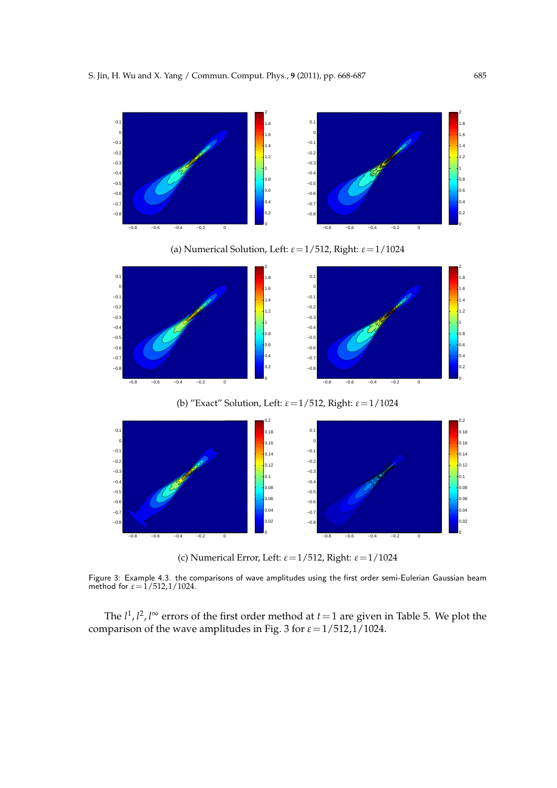

(c) Numerical Error, Left: *ε*=1/512, Right: *ε*=1/1024

Figure 3: Example 4.3. the comparisons of wave amplitudes using the first order semi-Eulerian Gaussian beam method for  $\varepsilon = 1/512, 1/1024$ .

The  $l^1$ ,  $l^2$ ,  $l^{\infty}$  errors of the first order method at  $t = 1$  are given in Table 5. We plot the comparison of the wave amplitudes in Fig. 3 for *ε*=1/512,1/1024.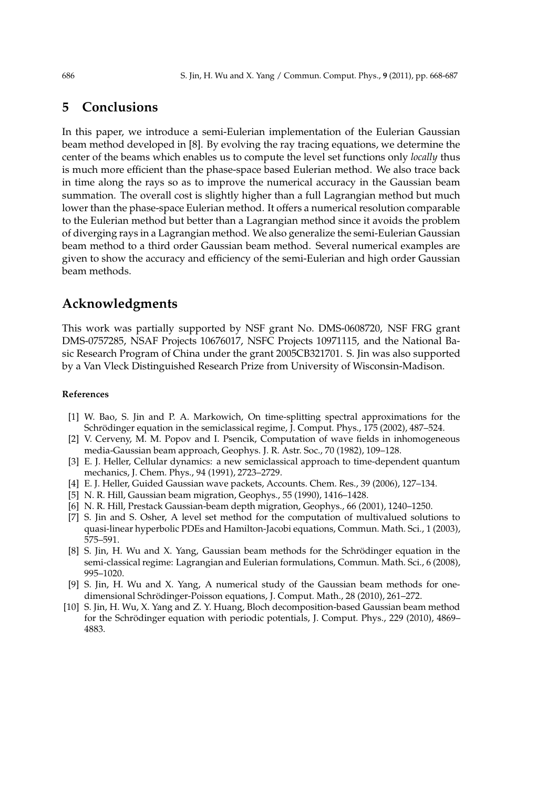# **5 Conclusions**

In this paper, we introduce a semi-Eulerian implementation of the Eulerian Gaussian beam method developed in [8]. By evolving the ray tracing equations, we determine the center of the beams which enables us to compute the level set functions only *locally* thus is much more efficient than the phase-space based Eulerian method. We also trace back in time along the rays so as to improve the numerical accuracy in the Gaussian beam summation. The overall cost is slightly higher than a full Lagrangian method but much lower than the phase-space Eulerian method. It offers a numerical resolution comparable to the Eulerian method but better than a Lagrangian method since it avoids the problem of diverging rays in a Lagrangian method. We also generalize the semi-Eulerian Gaussian beam method to a third order Gaussian beam method. Several numerical examples are given to show the accuracy and efficiency of the semi-Eulerian and high order Gaussian beam methods.

# **Acknowledgments**

This work was partially supported by NSF grant No. DMS-0608720, NSF FRG grant DMS-0757285, NSAF Projects 10676017, NSFC Projects 10971115, and the National Basic Research Program of China under the grant 2005CB321701. S. Jin was also supported by a Van Vleck Distinguished Research Prize from University of Wisconsin-Madison.

### **References**

- [1] W. Bao, S. Jin and P. A. Markowich, On time-splitting spectral approximations for the Schrödinger equation in the semiclassical regime, J. Comput. Phys., 175 (2002), 487–524.
- [2] V. Cerveny, M. M. Popov and I. Psencik, Computation of wave fields in inhomogeneous media-Gaussian beam approach, Geophys. J. R. Astr. Soc., 70 (1982), 109–128.
- [3] E. J. Heller, Cellular dynamics: a new semiclassical approach to time-dependent quantum mechanics, J. Chem. Phys., 94 (1991), 2723–2729.
- [4] E. J. Heller, Guided Gaussian wave packets, Accounts. Chem. Res., 39 (2006), 127–134.
- [5] N. R. Hill, Gaussian beam migration, Geophys., 55 (1990), 1416–1428.
- [6] N. R. Hill, Prestack Gaussian-beam depth migration, Geophys., 66 (2001), 1240–1250.
- [7] S. Jin and S. Osher, A level set method for the computation of multivalued solutions to quasi-linear hyperbolic PDEs and Hamilton-Jacobi equations, Commun. Math. Sci., 1 (2003), 575–591.
- [8] S. Jin, H. Wu and X. Yang, Gaussian beam methods for the Schrödinger equation in the semi-classical regime: Lagrangian and Eulerian formulations, Commun. Math. Sci., 6 (2008), 995–1020.
- [9] S. Jin, H. Wu and X. Yang, A numerical study of the Gaussian beam methods for onedimensional Schrödinger-Poisson equations, J. Comput. Math., 28 (2010), 261–272.
- [10] S. Jin, H. Wu, X. Yang and Z. Y. Huang, Bloch decomposition-based Gaussian beam method for the Schrödinger equation with periodic potentials, J. Comput. Phys., 229 (2010), 4869– 4883.